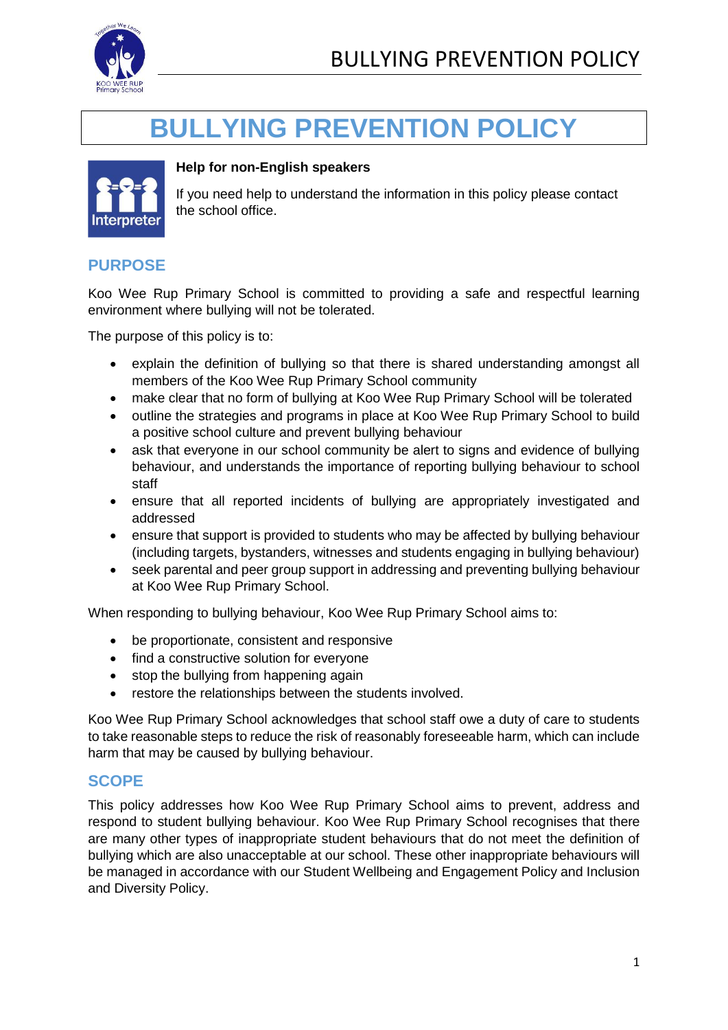

# **BULLYING PREVENTION POLICY**



#### **Help for non-English speakers**

If you need help to understand the information in this policy please contact the school office.

## **PURPOSE**

Koo Wee Rup Primary School is committed to providing a safe and respectful learning environment where bullying will not be tolerated.

The purpose of this policy is to:

- explain the definition of bullying so that there is shared understanding amongst all members of the Koo Wee Rup Primary School community
- make clear that no form of bullying at Koo Wee Rup Primary School will be tolerated
- outline the strategies and programs in place at Koo Wee Rup Primary School to build a positive school culture and prevent bullying behaviour
- ask that everyone in our school community be alert to signs and evidence of bullying behaviour, and understands the importance of reporting bullying behaviour to school staff
- ensure that all reported incidents of bullying are appropriately investigated and addressed
- ensure that support is provided to students who may be affected by bullying behaviour (including targets, bystanders, witnesses and students engaging in bullying behaviour)
- seek parental and peer group support in addressing and preventing bullying behaviour at Koo Wee Rup Primary School.

When responding to bullying behaviour, Koo Wee Rup Primary School aims to:

- be proportionate, consistent and responsive
- find a constructive solution for everyone
- stop the bullying from happening again
- restore the relationships between the students involved.

Koo Wee Rup Primary School acknowledges that school staff owe a duty of care to students to take reasonable steps to reduce the risk of reasonably foreseeable harm, which can include harm that may be caused by bullying behaviour.

#### **SCOPE**

This policy addresses how Koo Wee Rup Primary School aims to prevent, address and respond to student bullying behaviour. Koo Wee Rup Primary School recognises that there are many other types of inappropriate student behaviours that do not meet the definition of bullying which are also unacceptable at our school. These other inappropriate behaviours will be managed in accordance with our Student Wellbeing and Engagement Policy and Inclusion and Diversity Policy.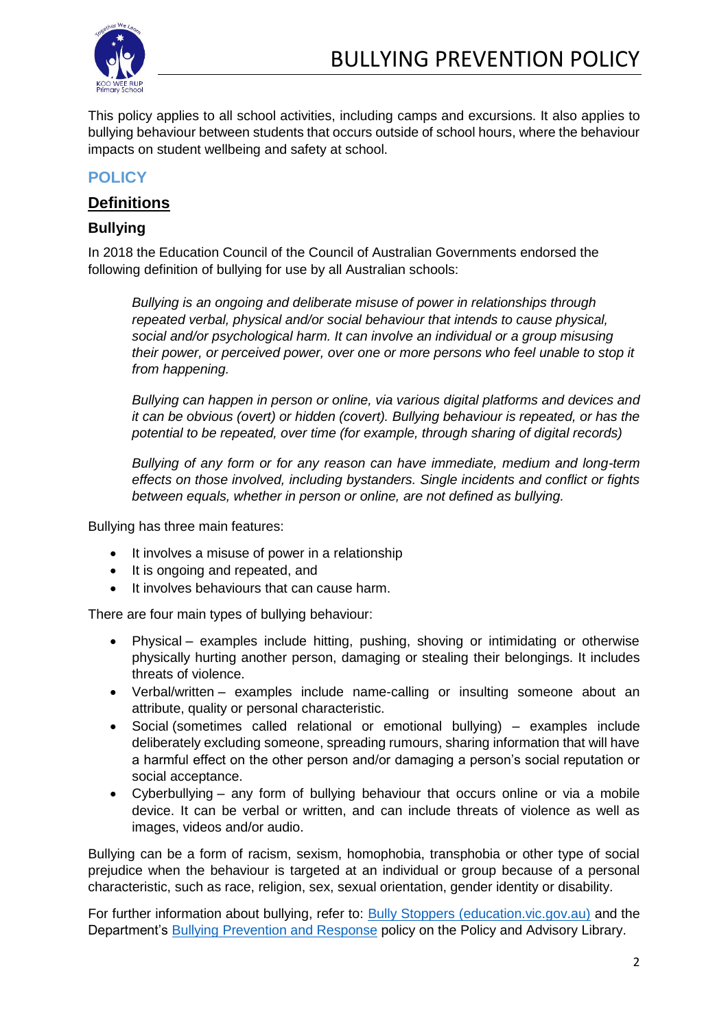

This policy applies to all school activities, including camps and excursions. It also applies to bullying behaviour between students that occurs outside of school hours, where the behaviour impacts on student wellbeing and safety at school.

### **POLICY**

## **Definitions**

#### **Bullying**

In 2018 the Education Council of the Council of Australian Governments endorsed the following definition of bullying for use by all Australian schools:

*Bullying is an ongoing and deliberate misuse of power in relationships through repeated verbal, physical and/or social behaviour that intends to cause physical, social and/or psychological harm. It can involve an individual or a group misusing their power, or perceived power, over one or more persons who feel unable to stop it from happening.*

*Bullying can happen in person or online, via various digital platforms and devices and it can be obvious (overt) or hidden (covert). Bullying behaviour is repeated, or has the potential to be repeated, over time (for example, through sharing of digital records)*

*Bullying of any form or for any reason can have immediate, medium and long-term effects on those involved, including bystanders. Single incidents and conflict or fights between equals, whether in person or online, are not defined as bullying.* 

Bullying has three main features:

- It involves a misuse of power in a relationship
- It is ongoing and repeated, and
- It involves behaviours that can cause harm.

There are four main types of bullying behaviour:

- Physical examples include hitting, pushing, shoving or intimidating or otherwise physically hurting another person, damaging or stealing their belongings. It includes threats of violence.
- Verbal/written examples include name-calling or insulting someone about an attribute, quality or personal characteristic.
- Social (sometimes called relational or emotional bullying) examples include deliberately excluding someone, spreading rumours, sharing information that will have a harmful effect on the other person and/or damaging a person's social reputation or social acceptance.
- Cyberbullying any form of bullying behaviour that occurs online or via a mobile device. It can be verbal or written, and can include threats of violence as well as images, videos and/or audio.

Bullying can be a form of racism, sexism, homophobia, transphobia or other type of social prejudice when the behaviour is targeted at an individual or group because of a personal characteristic, such as race, religion, sex, sexual orientation, gender identity or disability.

For further information about bullying, refer to: **Bully Stoppers** (education.vic.gov.au) and the Department's [Bullying Prevention and Response](https://www2.education.vic.gov.au/pal/bullying-prevention-response/policy) policy on the Policy and Advisory Library.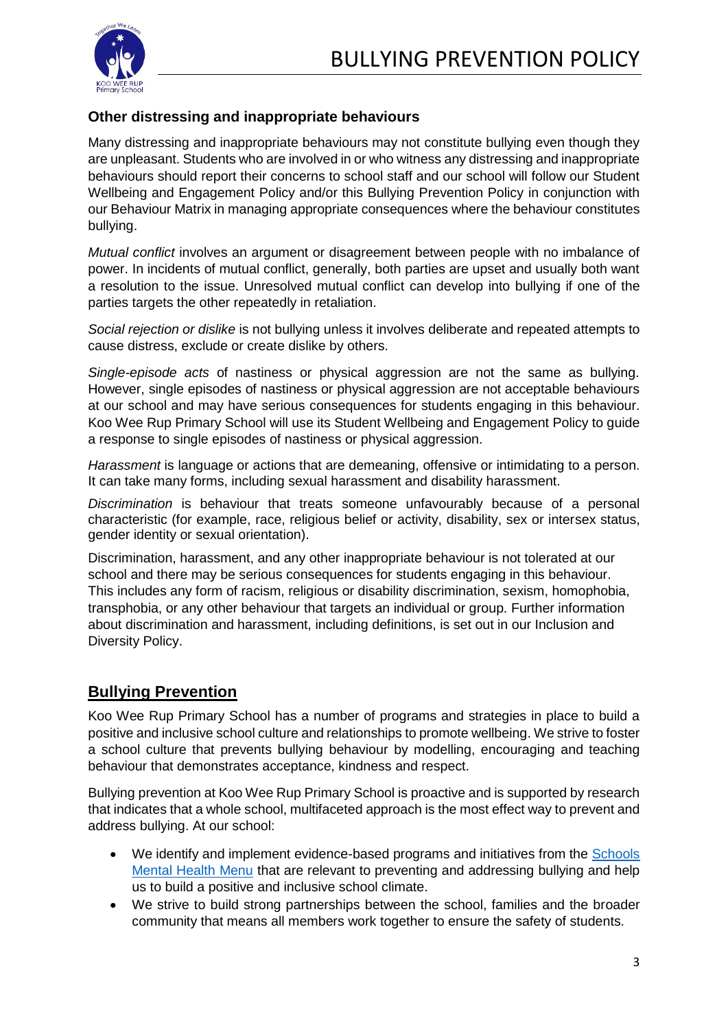

#### **Other distressing and inappropriate behaviours**

Many distressing and inappropriate behaviours may not constitute bullying even though they are unpleasant. Students who are involved in or who witness any distressing and inappropriate behaviours should report their concerns to school staff and our school will follow our Student Wellbeing and Engagement Policy and/or this Bullying Prevention Policy in conjunction with our Behaviour Matrix in managing appropriate consequences where the behaviour constitutes bullying.

*Mutual conflict* involves an argument or disagreement between people with no imbalance of power. In incidents of mutual conflict, generally, both parties are upset and usually both want a resolution to the issue. Unresolved mutual conflict can develop into bullying if one of the parties targets the other repeatedly in retaliation.

*Social rejection or dislike* is not bullying unless it involves deliberate and repeated attempts to cause distress, exclude or create dislike by others.

*Single-episode acts* of nastiness or physical aggression are not the same as bullying. However, single episodes of nastiness or physical aggression are not acceptable behaviours at our school and may have serious consequences for students engaging in this behaviour. Koo Wee Rup Primary School will use its Student Wellbeing and Engagement Policy to guide a response to single episodes of nastiness or physical aggression.

*Harassment* is language or actions that are demeaning, offensive or intimidating to a person. It can take many forms, including sexual harassment and disability harassment.

*Discrimination* is behaviour that treats someone unfavourably because of a personal characteristic (for example, race, religious belief or activity, disability, sex or intersex status, gender identity or sexual orientation).

Discrimination, harassment, and any other inappropriate behaviour is not tolerated at our school and there may be serious consequences for students engaging in this behaviour. This includes any form of racism, religious or disability discrimination, sexism, homophobia, transphobia, or any other behaviour that targets an individual or group. Further information about discrimination and harassment, including definitions, is set out in our Inclusion and Diversity Policy.

## **Bullying Prevention**

Koo Wee Rup Primary School has a number of programs and strategies in place to build a positive and inclusive school culture and relationships to promote wellbeing. We strive to foster a school culture that prevents bullying behaviour by modelling, encouraging and teaching behaviour that demonstrates acceptance, kindness and respect.

Bullying prevention at Koo Wee Rup Primary School is proactive and is supported by research that indicates that a whole school, multifaceted approach is the most effect way to prevent and address bullying. At our school:

- We identify and implement evidence-based programs and initiatives from the [Schools](https://www.education.vic.gov.au/school/teachers/health/mentalhealth/mental-health-menu/Pages/Menu.aspx?Redirect=1)  [Mental Health Menu](https://www.education.vic.gov.au/school/teachers/health/mentalhealth/mental-health-menu/Pages/Menu.aspx?Redirect=1) that are relevant to preventing and addressing bullying and help us to build a positive and inclusive school climate.
- We strive to build strong partnerships between the school, families and the broader community that means all members work together to ensure the safety of students.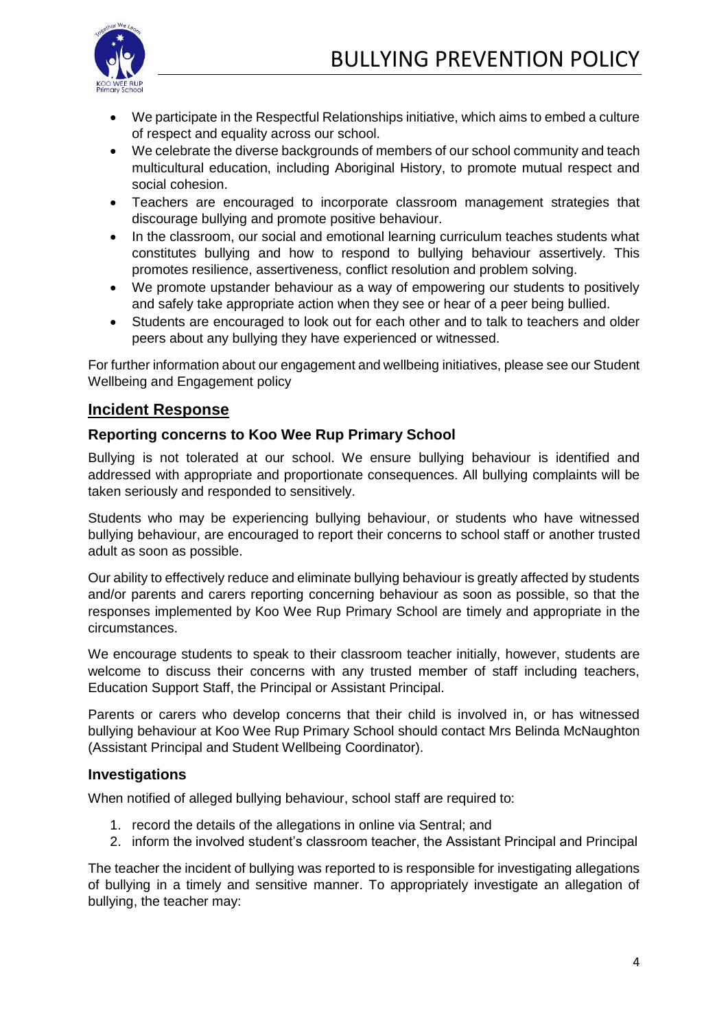

- We participate in the Respectful Relationships initiative, which aims to embed a culture of respect and equality across our school.
- We celebrate the diverse backgrounds of members of our school community and teach multicultural education, including Aboriginal History, to promote mutual respect and social cohesion.
- Teachers are encouraged to incorporate classroom management strategies that discourage bullying and promote positive behaviour.
- In the classroom, our social and emotional learning curriculum teaches students what constitutes bullying and how to respond to bullying behaviour assertively. This promotes resilience, assertiveness, conflict resolution and problem solving.
- We promote upstander behaviour as a way of empowering our students to positively and safely take appropriate action when they see or hear of a peer being bullied.
- Students are encouraged to look out for each other and to talk to teachers and older peers about any bullying they have experienced or witnessed.

For further information about our engagement and wellbeing initiatives, please see our Student Wellbeing and Engagement policy

#### **Incident Response**

#### **Reporting concerns to Koo Wee Rup Primary School**

Bullying is not tolerated at our school. We ensure bullying behaviour is identified and addressed with appropriate and proportionate consequences. All bullying complaints will be taken seriously and responded to sensitively.

Students who may be experiencing bullying behaviour, or students who have witnessed bullying behaviour, are encouraged to report their concerns to school staff or another trusted adult as soon as possible.

Our ability to effectively reduce and eliminate bullying behaviour is greatly affected by students and/or parents and carers reporting concerning behaviour as soon as possible, so that the responses implemented by Koo Wee Rup Primary School are timely and appropriate in the circumstances.

We encourage students to speak to their classroom teacher initially, however, students are welcome to discuss their concerns with any trusted member of staff including teachers, Education Support Staff, the Principal or Assistant Principal.

Parents or carers who develop concerns that their child is involved in, or has witnessed bullying behaviour at Koo Wee Rup Primary School should contact Mrs Belinda McNaughton (Assistant Principal and Student Wellbeing Coordinator).

#### **Investigations**

When notified of alleged bullying behaviour, school staff are required to:

- 1. record the details of the allegations in online via Sentral; and
- 2. inform the involved student's classroom teacher, the Assistant Principal and Principal

The teacher the incident of bullying was reported to is responsible for investigating allegations of bullying in a timely and sensitive manner. To appropriately investigate an allegation of bullying, the teacher may: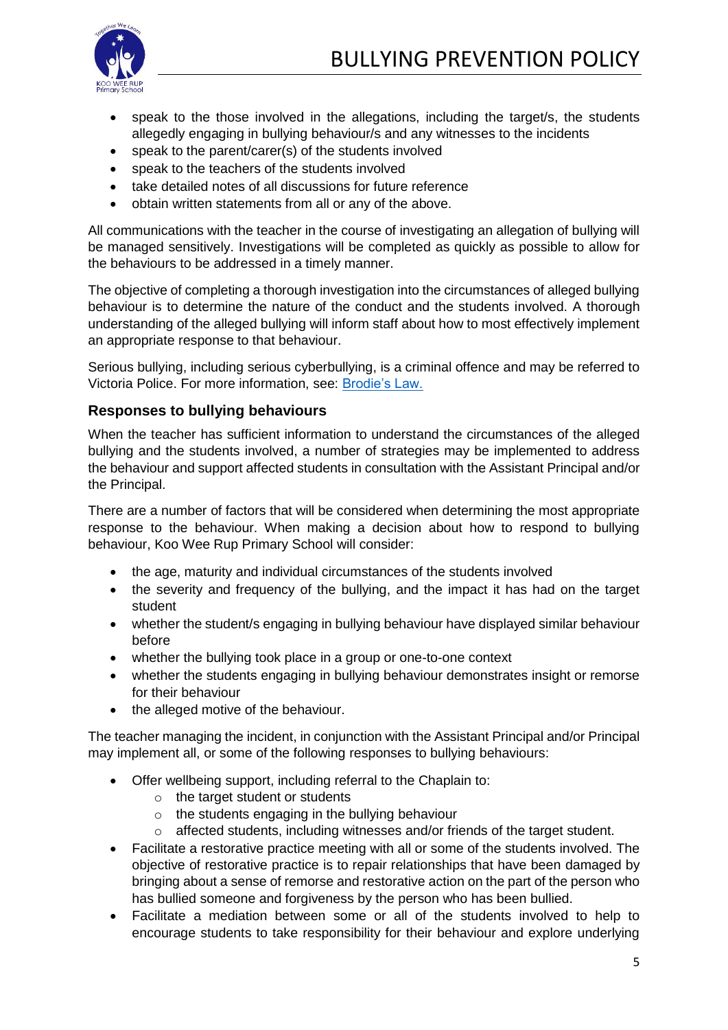## BULLYING PREVENTION POLICY



- speak to the those involved in the allegations, including the target/s, the students allegedly engaging in bullying behaviour/s and any witnesses to the incidents
- speak to the parent/carer(s) of the students involved
- speak to the teachers of the students involved
- take detailed notes of all discussions for future reference
- obtain written statements from all or any of the above.

All communications with the teacher in the course of investigating an allegation of bullying will be managed sensitively. Investigations will be completed as quickly as possible to allow for the behaviours to be addressed in a timely manner.

The objective of completing a thorough investigation into the circumstances of alleged bullying behaviour is to determine the nature of the conduct and the students involved. A thorough understanding of the alleged bullying will inform staff about how to most effectively implement an appropriate response to that behaviour.

Serious bullying, including serious cyberbullying, is a criminal offence and may be referred to Victoria Police. For more information, see: [Brodie's Law.](http://www.education.vic.gov.au/about/programs/bullystoppers/Pages/advicesheetbrodieslaw.aspx)

#### **Responses to bullying behaviours**

When the teacher has sufficient information to understand the circumstances of the alleged bullying and the students involved, a number of strategies may be implemented to address the behaviour and support affected students in consultation with the Assistant Principal and/or the Principal.

There are a number of factors that will be considered when determining the most appropriate response to the behaviour. When making a decision about how to respond to bullying behaviour, Koo Wee Rup Primary School will consider:

- the age, maturity and individual circumstances of the students involved
- the severity and frequency of the bullying, and the impact it has had on the target student
- whether the student/s engaging in bullying behaviour have displayed similar behaviour before
- whether the bullying took place in a group or one-to-one context
- whether the students engaging in bullying behaviour demonstrates insight or remorse for their behaviour
- the alleged motive of the behaviour.

The teacher managing the incident, in conjunction with the Assistant Principal and/or Principal may implement all, or some of the following responses to bullying behaviours:

- Offer wellbeing support, including referral to the Chaplain to:
	- $\circ$  the target student or students
	- $\circ$  the students engaging in the bullying behaviour
	- $\circ$  affected students, including witnesses and/or friends of the target student.
- Facilitate a restorative practice meeting with all or some of the students involved. The objective of restorative practice is to repair relationships that have been damaged by bringing about a sense of remorse and restorative action on the part of the person who has bullied someone and forgiveness by the person who has been bullied.
- Facilitate a mediation between some or all of the students involved to help to encourage students to take responsibility for their behaviour and explore underlying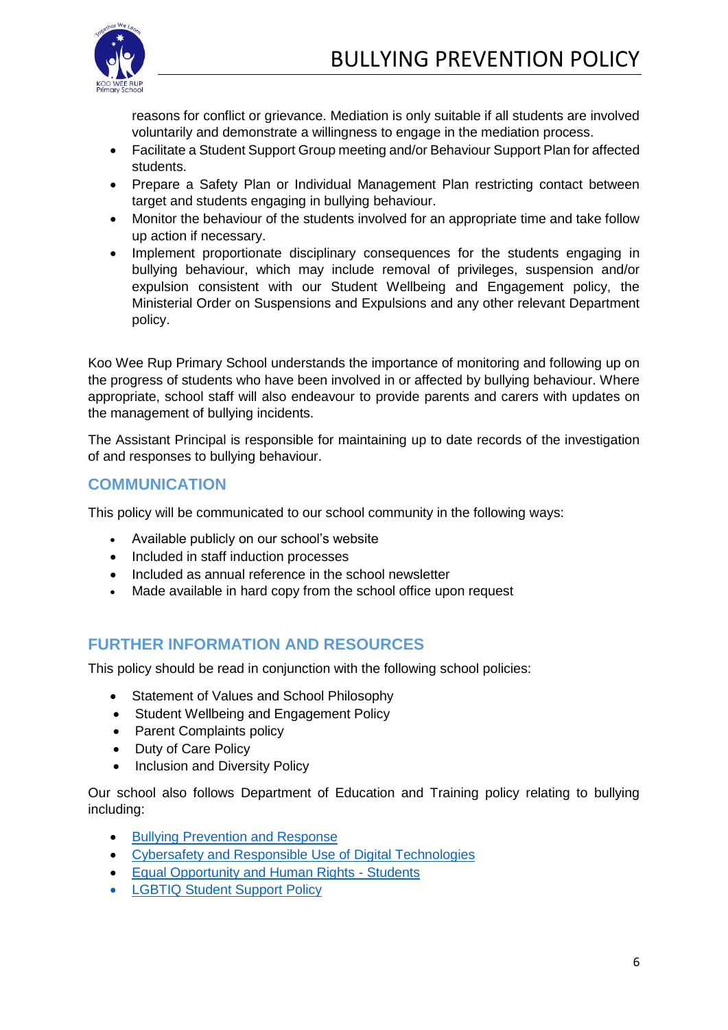

reasons for conflict or grievance. Mediation is only suitable if all students are involved voluntarily and demonstrate a willingness to engage in the mediation process.

- Facilitate a Student Support Group meeting and/or Behaviour Support Plan for affected students.
- Prepare a Safety Plan or Individual Management Plan restricting contact between target and students engaging in bullying behaviour.
- Monitor the behaviour of the students involved for an appropriate time and take follow up action if necessary.
- Implement proportionate disciplinary consequences for the students engaging in bullying behaviour, which may include removal of privileges, suspension and/or expulsion consistent with our Student Wellbeing and Engagement policy, the Ministerial Order on Suspensions and Expulsions and any other relevant Department policy.

Koo Wee Rup Primary School understands the importance of monitoring and following up on the progress of students who have been involved in or affected by bullying behaviour. Where appropriate, school staff will also endeavour to provide parents and carers with updates on the management of bullying incidents.

The Assistant Principal is responsible for maintaining up to date records of the investigation of and responses to bullying behaviour.

#### **COMMUNICATION**

This policy will be communicated to our school community in the following ways:

- Available publicly on our school's website
- Included in staff induction processes
- Included as annual reference in the school newsletter
- Made available in hard copy from the school office upon request

#### **FURTHER INFORMATION AND RESOURCES**

This policy should be read in conjunction with the following school policies:

- Statement of Values and School Philosophy
- Student Wellbeing and Engagement Policy
- Parent Complaints policy
- Duty of Care Policy
- Inclusion and Diversity Policy

Our school also follows Department of Education and Training policy relating to bullying including:

- [Bullying Prevention and Response](https://www2.education.vic.gov.au/pal/bullying-prevention-response/policy)
- [Cybersafety and Responsible Use of Digital Technologies](https://www2.education.vic.gov.au/pal/cybersafety/policy)
- [Equal Opportunity and Human Rights -](https://www2.education.vic.gov.au/pal/equal-opportunity-human-rights-students/policy) Students
- [LGBTIQ Student Support Policy](https://www2.education.vic.gov.au/pal/lgbtiq-student-support/policy)